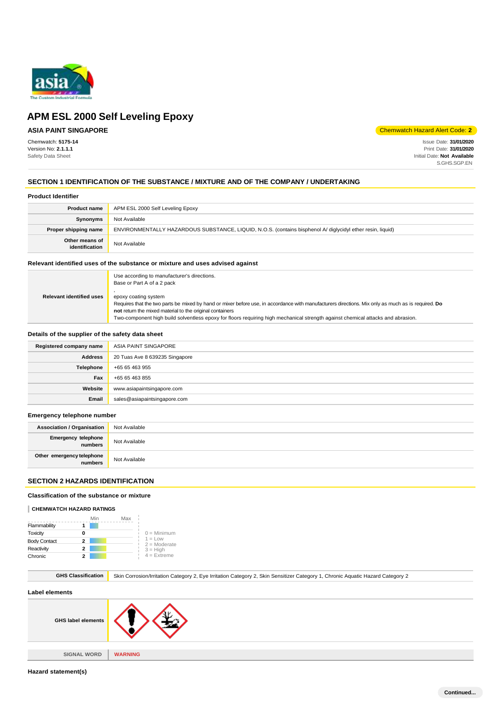

# **ASIA PAINT SINGAPORE**

Chemwatch: **5175-14** Version No: **2.1.1.1** Safety Data Sheet

Chemwatch Hazard Alert Code: **2**

Issue Date: **31/01/2020** Print Date: **31/01/2020** Initial Date: **Not Available** S.GHS.SGP.EN

### **SECTION 1 IDENTIFICATION OF THE SUBSTANCE / MIXTURE AND OF THE COMPANY / UNDERTAKING**

### **Product Identifier**

| <b>Product name</b>              | APM ESL 2000 Self Leveling Epoxy                                                                           |
|----------------------------------|------------------------------------------------------------------------------------------------------------|
| Synonyms                         | Not Available                                                                                              |
| Proper shipping name             | ENVIRONMENTALLY HAZARDOUS SUBSTANCE, LIQUID, N.O.S. (contains bisphenol A/ diglycidyl ether resin, liquid) |
| Other means of<br>identification | Not Available                                                                                              |

#### **Relevant identified uses of the substance or mixture and uses advised against**

|                                 | Use according to manufacturer's directions.<br>Base or Part A of a 2 pack                                                                                                                   |
|---------------------------------|---------------------------------------------------------------------------------------------------------------------------------------------------------------------------------------------|
| <b>Relevant identified uses</b> | epoxy coating system<br>Requires that the two parts be mixed by hand or mixer before use, in accordance with manufacturers directions. Mix only as much as is required. Do                  |
|                                 | not return the mixed material to the original containers<br>Two-component high build solventless epoxy for floors requiring high mechanical strength against chemical attacks and abrasion. |

### **Details of the supplier of the safety data sheet**

| Registered company name | ASIA PAINT SINGAPORE           |
|-------------------------|--------------------------------|
| <b>Address</b>          | 20 Tuas Ave 8 639235 Singapore |
| Telephone               | +65 65 463 955                 |
| Fax                     | +65 65 463 855                 |
| Website                 | www.asiapaintsingapore.com     |
| Email                   | sales@asiapaintsingapore.com   |

#### **Emergency telephone number**

| <b>Association / Organisation</b>    | Not Available |
|--------------------------------------|---------------|
| Emergency telephone<br>numbers       | Not Available |
| Other emergency telephone<br>numbers | Not Available |

### **SECTION 2 HAZARDS IDENTIFICATION**

### **Classification of the substance or mixture**

#### **CHEMWATCH HAZARD RATINGS**

|                     | Min | Max |                             |
|---------------------|-----|-----|-----------------------------|
| Flammability        |     |     |                             |
| Toxicity            | ŋ   |     | $0 =$ Minimum               |
| <b>Body Contact</b> | 2   |     | $1 = Low$<br>$2 =$ Moderate |
| Reactivity          | 2   |     | $3 = High$                  |
| Chronic             |     |     | $4$ = Extreme               |

GHS Classification **Skin Corrosion/Irritation Category 2, Eye Irritation Category 2, Skin Sensitizer Category 1, Chronic Aquatic Hazard Category 2** 

### **Label elements**

| <b>GHS label elements</b> |                |
|---------------------------|----------------|
|                           |                |
| <b>SIGNAL WORD</b>        | <b>WARNING</b> |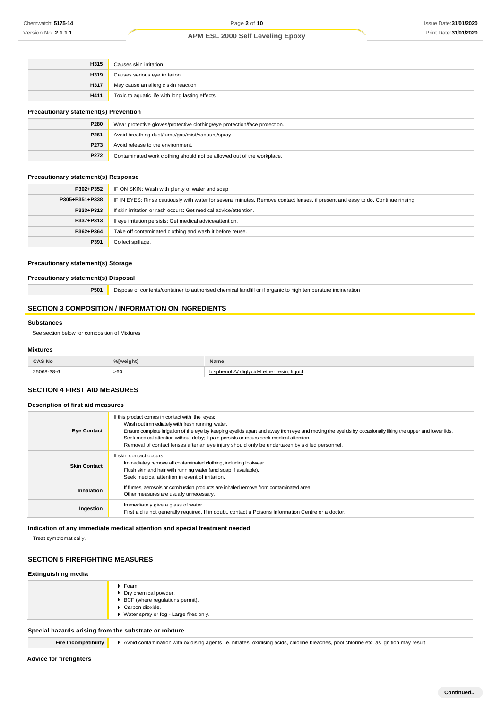| H315        | Causes skin irritation                          |
|-------------|-------------------------------------------------|
| H319        | Causes serious eye irritation                   |
| <b>H317</b> | May cause an allergic skin reaction             |
| <b>H411</b> | Toxic to aquatic life with long lasting effects |
|             |                                                 |

# **Precautionary statement(s) Prevention**

| P280 | Wear protective gloves/protective clothing/eye protection/face protection. |
|------|----------------------------------------------------------------------------|
| P261 | Avoid breathing dust/fume/gas/mist/vapours/spray.                          |
| P273 | Avoid release to the environment.                                          |
| P272 | Contaminated work clothing should not be allowed out of the workplace.     |

#### **Precautionary statement(s) Response**

| P302+P352      | IF ON SKIN: Wash with plenty of water and soap                                                                                   |
|----------------|----------------------------------------------------------------------------------------------------------------------------------|
| P305+P351+P338 | IF IN EYES: Rinse cautiously with water for several minutes. Remove contact lenses, if present and easy to do. Continue rinsing. |
| P333+P313      | If skin irritation or rash occurs: Get medical advice/attention.                                                                 |
| P337+P313      | If eye irritation persists: Get medical advice/attention.                                                                        |
| P362+P364      | Take off contaminated clothing and wash it before reuse.                                                                         |
| P391           | Collect spillage.                                                                                                                |

### **Precautionary statement(s) Storage**

**Precautionary statement(s) Disposal**

**P501** Dispose of contents/container to authorised chemical landfill or if organic to high temperature incineration

# **SECTION 3 COMPOSITION / INFORMATION ON INGREDIENTS**

#### **Substances**

See section below for composition of Mixtures

#### **Mixtures**

| <b>CAS No</b><br>---- --- | %[weight] | Name                            |
|---------------------------|-----------|---------------------------------|
|                           | >60       | . liauid<br>ntho<br><b>FOCU</b> |

### **SECTION 4 FIRST AID MEASURES**

### **Description of first aid measures**

| <b>Eye Contact</b>  | If this product comes in contact with the eyes:<br>Wash out immediately with fresh running water.<br>Ensure complete irrigation of the eye by keeping eyelids apart and away from eye and moving the eyelids by occasionally lifting the upper and lower lids.<br>Seek medical attention without delay; if pain persists or recurs seek medical attention.<br>Removal of contact lenses after an eye injury should only be undertaken by skilled personnel. |
|---------------------|-------------------------------------------------------------------------------------------------------------------------------------------------------------------------------------------------------------------------------------------------------------------------------------------------------------------------------------------------------------------------------------------------------------------------------------------------------------|
| <b>Skin Contact</b> | If skin contact occurs:<br>Immediately remove all contaminated clothing, including footwear.<br>Flush skin and hair with running water (and soap if available).<br>Seek medical attention in event of irritation.                                                                                                                                                                                                                                           |
| Inhalation          | If fumes, aerosols or combustion products are inhaled remove from contaminated area.<br>Other measures are usually unnecessary.                                                                                                                                                                                                                                                                                                                             |
| Ingestion           | Immediately give a glass of water.<br>First aid is not generally required. If in doubt, contact a Poisons Information Centre or a doctor.                                                                                                                                                                                                                                                                                                                   |

### **Indication of any immediate medical attention and special treatment needed**

Treat symptomatically.

### **SECTION 5 FIREFIGHTING MEASURES**

### **Extinguishing media**

|                                                       | ▶ Foam.                                               |
|-------------------------------------------------------|-------------------------------------------------------|
|                                                       | Dry chemical powder.                                  |
|                                                       | $\blacktriangleright$ BCF (where regulations permit). |
|                                                       | Carbon dioxide.                                       |
|                                                       | ▶ Water spray or fog - Large fires only.              |
| Special hazards arising from the substrate or mixture |                                                       |

**Fire Incompatibility**  $\rightarrow$  Avoid contamination with oxidising agents i.e. nitrates, oxidising acids, chlorine bleaches, pool chlorine etc. as ignition may result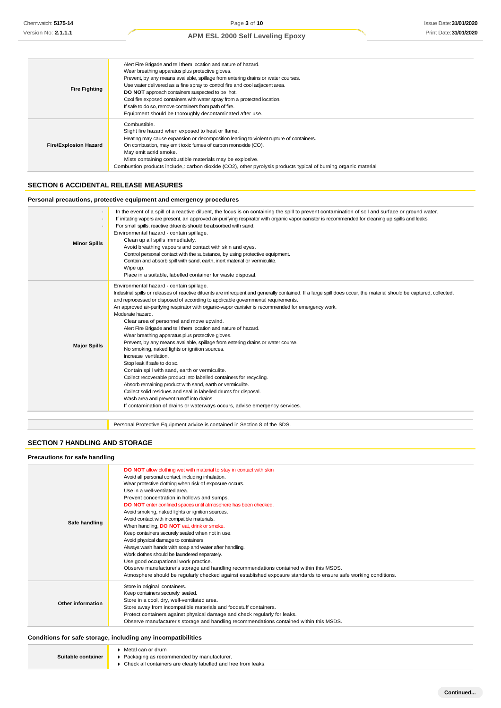| <b>Fire Fighting</b>         | Alert Fire Brigade and tell them location and nature of hazard.<br>Wear breathing apparatus plus protective gloves.<br>Prevent, by any means available, spillage from entering drains or water courses.<br>Use water delivered as a fine spray to control fire and cool adjacent area.<br>DO NOT approach containers suspected to be hot.<br>Cool fire exposed containers with water spray from a protected location.<br>If safe to do so, remove containers from path of fire.<br>Equipment should be thoroughly decontaminated after use. |
|------------------------------|---------------------------------------------------------------------------------------------------------------------------------------------------------------------------------------------------------------------------------------------------------------------------------------------------------------------------------------------------------------------------------------------------------------------------------------------------------------------------------------------------------------------------------------------|
| <b>Fire/Explosion Hazard</b> | Combustible.<br>Slight fire hazard when exposed to heat or flame.<br>Heating may cause expansion or decomposition leading to violent rupture of containers.<br>On combustion, may emit toxic fumes of carbon monoxide (CO).<br>May emit acrid smoke.<br>Mists containing combustible materials may be explosive.<br>Combustion products include,: carbon dioxide (CO2), other pyrolysis products typical of burning organic material                                                                                                        |

### **SECTION 6 ACCIDENTAL RELEASE MEASURES**

### **Personal precautions, protective equipment and emergency procedures**

| <b>Minor Spills</b> | In the event of a spill of a reactive diluent, the focus is on containing the spill to prevent contamination of soil and surface or ground water.<br>If irritating vapors are present, an approved air-purifying respirator with organic vapor canister is recommended for cleaning up spills and leaks.<br>For small spills, reactive diluents should be absorbed with sand.<br>Environmental hazard - contain spillage.<br>Clean up all spills immediately.<br>Avoid breathing vapours and contact with skin and eyes.<br>Control personal contact with the substance, by using protective equipment.<br>Contain and absorb spill with sand, earth, inert material or vermiculite.<br>Wipe up.<br>Place in a suitable, labelled container for waste disposal.                                                                                                                                                                                                                                                                                                                                                                                                                    |
|---------------------|------------------------------------------------------------------------------------------------------------------------------------------------------------------------------------------------------------------------------------------------------------------------------------------------------------------------------------------------------------------------------------------------------------------------------------------------------------------------------------------------------------------------------------------------------------------------------------------------------------------------------------------------------------------------------------------------------------------------------------------------------------------------------------------------------------------------------------------------------------------------------------------------------------------------------------------------------------------------------------------------------------------------------------------------------------------------------------------------------------------------------------------------------------------------------------|
| <b>Major Spills</b> | Environmental hazard - contain spillage.<br>Industrial spills or releases of reactive diluents are infrequent and generally contained. If a large spill does occur, the material should be captured, collected,<br>and reprocessed or disposed of according to applicable governmental requirements.<br>An approved air-purifying respirator with organic-vapor canister is recommended for emergency work.<br>Moderate hazard.<br>Clear area of personnel and move upwind.<br>Alert Fire Brigade and tell them location and nature of hazard.<br>Wear breathing apparatus plus protective gloves.<br>Prevent, by any means available, spillage from entering drains or water course.<br>No smoking, naked lights or ignition sources.<br>Increase ventilation.<br>Stop leak if safe to do so.<br>Contain spill with sand, earth or vermiculite.<br>Collect recoverable product into labelled containers for recycling.<br>Absorb remaining product with sand, earth or vermiculite.<br>Collect solid residues and seal in labelled drums for disposal.<br>Wash area and prevent runoff into drains.<br>If contamination of drains or waterways occurs, advise emergency services. |
|                     | Personal Protective Equipment advice is contained in Section 8 of the SDS.                                                                                                                                                                                                                                                                                                                                                                                                                                                                                                                                                                                                                                                                                                                                                                                                                                                                                                                                                                                                                                                                                                         |

### **SECTION 7 HANDLING AND STORAGE**

| Precautions for safe handling |                                                                                                                                                                                                                                                                                                                                                                                                                                                                                                                                                                                                                                                                                                                                                                                                                                                                                                                                                     |  |
|-------------------------------|-----------------------------------------------------------------------------------------------------------------------------------------------------------------------------------------------------------------------------------------------------------------------------------------------------------------------------------------------------------------------------------------------------------------------------------------------------------------------------------------------------------------------------------------------------------------------------------------------------------------------------------------------------------------------------------------------------------------------------------------------------------------------------------------------------------------------------------------------------------------------------------------------------------------------------------------------------|--|
| Safe handling                 | DO NOT allow clothing wet with material to stay in contact with skin<br>Avoid all personal contact, including inhalation.<br>Wear protective clothing when risk of exposure occurs.<br>Use in a well-ventilated area.<br>Prevent concentration in hollows and sumps.<br>DO NOT enter confined spaces until atmosphere has been checked.<br>Avoid smoking, naked lights or ignition sources.<br>Avoid contact with incompatible materials.<br>When handling, DO NOT eat, drink or smoke.<br>Keep containers securely sealed when not in use.<br>Avoid physical damage to containers.<br>Always wash hands with soap and water after handling.<br>Work clothes should be laundered separately.<br>Use good occupational work practice.<br>Observe manufacturer's storage and handling recommendations contained within this MSDS.<br>Atmosphere should be regularly checked against established exposure standards to ensure safe working conditions. |  |
| Other information             | Store in original containers.<br>Keep containers securely sealed.<br>Store in a cool, dry, well-ventilated area.<br>Store away from incompatible materials and foodstuff containers.<br>Protect containers against physical damage and check regularly for leaks.<br>Observe manufacturer's storage and handling recommendations contained within this MSDS.                                                                                                                                                                                                                                                                                                                                                                                                                                                                                                                                                                                        |  |

### **Conditions for safe storage, including any incompatibilities**

|                    | $\blacktriangleright$ Metal can or drum                        |
|--------------------|----------------------------------------------------------------|
| Suitable container | • Packaging as recommended by manufacturer.                    |
|                    | Check all containers are clearly labelled and free from leaks. |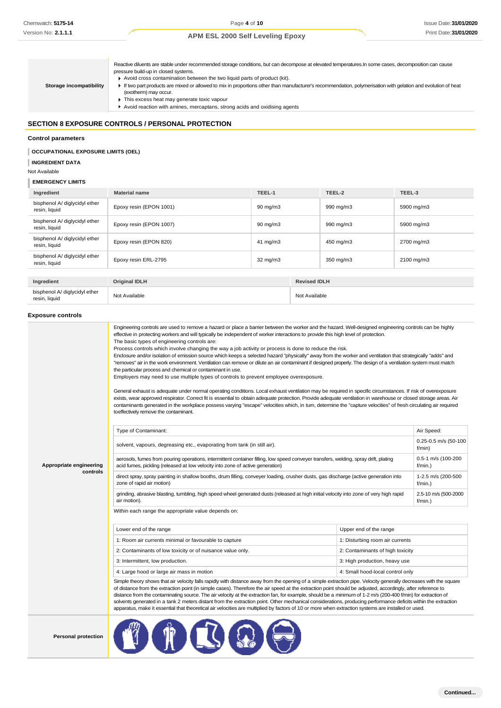Reactive diluents are stable under recommended storage conditions, but can decompose at elevated temperatures.In some cases, decomposition can cause pressure build-up in closed systems. ■ Avoid cross contamination between the two liquid parts of product (kit). If two part products are mixed or allowed to mix in proportions other than manufacturer's recommendation, polymerisation with gelation and evolution of heat (exotherm) may occur.  $\blacktriangleright$  This excess heat may generate toxic vapour Avoid reaction with amines, mercaptans, strong acids and oxidising agents **Storage incompatibility**

# **SECTION 8 EXPOSURE CONTROLS / PERSONAL PROTECTION**

#### **Control parameters**

### **OCCUPATIONAL EXPOSURE LIMITS (OEL)**

**INGREDIENT DATA**

#### Not Available

#### **EMERGENCY LIMITS**

| Ingredient                                     | <b>Material name</b>    | TEEL-1              |                     | TEEL-2    | TEEL-3     |
|------------------------------------------------|-------------------------|---------------------|---------------------|-----------|------------|
| bisphenol A/ diglycidyl ether<br>resin, liquid | Epoxy resin (EPON 1001) | $90 \text{ mg/m}$ 3 |                     | 990 mg/m3 | 5900 mg/m3 |
| bisphenol A/ diglycidyl ether<br>resin, liquid | Epoxy resin (EPON 1007) | $90 \text{ mg/m}$ 3 |                     | 990 mg/m3 | 5900 mg/m3 |
| bisphenol A/ diglycidyl ether<br>resin, liquid | Epoxy resin (EPON 820)  | $41 \text{ mg/m}$   |                     | 450 mg/m3 | 2700 mg/m3 |
| bisphenol A/ diglycidyl ether<br>resin, liquid | Epoxy resin ERL-2795    | $32 \text{ mg/m}$   |                     | 350 mg/m3 | 2100 mg/m3 |
|                                                |                         |                     |                     |           |            |
| Ingredient                                     | <b>Original IDLH</b>    |                     | <b>Revised IDLH</b> |           |            |
| bisphenol A/ diglycidyl ether<br>resin, liquid | Not Available           |                     | Not Available       |           |            |
|                                                |                         |                     |                     |           |            |

#### **Exposure controls**

|                         | Engineering controls are used to remove a hazard or place a barrier between the worker and the hazard. Well-designed engineering controls can be highly<br>effective in protecting workers and will typically be independent of worker interactions to provide this high level of protection.<br>The basic types of engineering controls are:<br>Process controls which involve changing the way a job activity or process is done to reduce the risk.<br>Enclosure and/or isolation of emission source which keeps a selected hazard "physically" away from the worker and ventilation that strategically "adds" and<br>"removes" air in the work environment. Ventilation can remove or dilute an air contaminant if designed properly. The design of a ventilation system must match<br>the particular process and chemical or contaminant in use.<br>Employers may need to use multiple types of controls to prevent employee overexposure.<br>General exhaust is adequate under normal operating conditions. Local exhaust ventilation may be required in specific circumstances. If risk of overexposure<br>exists, wear approved respirator. Correct fit is essential to obtain adequate protection. Provide adequate ventilation in warehouse or closed storage areas. Air<br>contaminants generated in the workplace possess varying "escape" velocities which, in turn, determine the "capture velocities" of fresh circulating air required<br>to effectively remove the contaminant. |                                  |                                    |
|-------------------------|--------------------------------------------------------------------------------------------------------------------------------------------------------------------------------------------------------------------------------------------------------------------------------------------------------------------------------------------------------------------------------------------------------------------------------------------------------------------------------------------------------------------------------------------------------------------------------------------------------------------------------------------------------------------------------------------------------------------------------------------------------------------------------------------------------------------------------------------------------------------------------------------------------------------------------------------------------------------------------------------------------------------------------------------------------------------------------------------------------------------------------------------------------------------------------------------------------------------------------------------------------------------------------------------------------------------------------------------------------------------------------------------------------------------------------------------------------------------------------------------------|----------------------------------|------------------------------------|
|                         | Type of Contaminant:                                                                                                                                                                                                                                                                                                                                                                                                                                                                                                                                                                                                                                                                                                                                                                                                                                                                                                                                                                                                                                                                                                                                                                                                                                                                                                                                                                                                                                                                             |                                  | Air Speed:                         |
|                         | solvent, vapours, degreasing etc., evaporating from tank (in still air).                                                                                                                                                                                                                                                                                                                                                                                                                                                                                                                                                                                                                                                                                                                                                                                                                                                                                                                                                                                                                                                                                                                                                                                                                                                                                                                                                                                                                         |                                  | $0.25 - 0.5$ m/s (50-100<br>f/min) |
| Appropriate engineering | aerosols, fumes from pouring operations, intermittent container filling, low speed conveyer transfers, welding, spray drift, plating<br>acid fumes, pickling (released at low velocity into zone of active generation)                                                                                                                                                                                                                                                                                                                                                                                                                                                                                                                                                                                                                                                                                                                                                                                                                                                                                                                                                                                                                                                                                                                                                                                                                                                                           | 0.5-1 m/s (100-200<br>$f/min.$ ) |                                    |
| controls                | direct spray, spray painting in shallow booths, drum filling, conveyer loading, crusher dusts, gas discharge (active generation into<br>zone of rapid air motion)                                                                                                                                                                                                                                                                                                                                                                                                                                                                                                                                                                                                                                                                                                                                                                                                                                                                                                                                                                                                                                                                                                                                                                                                                                                                                                                                | 1-2.5 m/s (200-500<br>$f/min.$ ) |                                    |
|                         | grinding, abrasive blasting, tumbling, high speed wheel generated dusts (released at high initial velocity into zone of very high rapid<br>air motion).                                                                                                                                                                                                                                                                                                                                                                                                                                                                                                                                                                                                                                                                                                                                                                                                                                                                                                                                                                                                                                                                                                                                                                                                                                                                                                                                          |                                  | 2.5-10 m/s (500-2000<br>$f/min.$ ) |
|                         | Within each range the appropriate value depends on:                                                                                                                                                                                                                                                                                                                                                                                                                                                                                                                                                                                                                                                                                                                                                                                                                                                                                                                                                                                                                                                                                                                                                                                                                                                                                                                                                                                                                                              |                                  |                                    |
|                         | Lower end of the range                                                                                                                                                                                                                                                                                                                                                                                                                                                                                                                                                                                                                                                                                                                                                                                                                                                                                                                                                                                                                                                                                                                                                                                                                                                                                                                                                                                                                                                                           | Upper end of the range           |                                    |
|                         | 1: Room air currents minimal or favourable to capture                                                                                                                                                                                                                                                                                                                                                                                                                                                                                                                                                                                                                                                                                                                                                                                                                                                                                                                                                                                                                                                                                                                                                                                                                                                                                                                                                                                                                                            | 1: Disturbing room air currents  |                                    |
|                         | 2: Contaminants of low toxicity or of nuisance value only.                                                                                                                                                                                                                                                                                                                                                                                                                                                                                                                                                                                                                                                                                                                                                                                                                                                                                                                                                                                                                                                                                                                                                                                                                                                                                                                                                                                                                                       | 2: Contaminants of high toxicity |                                    |
|                         | 3: Intermittent, low production.                                                                                                                                                                                                                                                                                                                                                                                                                                                                                                                                                                                                                                                                                                                                                                                                                                                                                                                                                                                                                                                                                                                                                                                                                                                                                                                                                                                                                                                                 | 3: High production, heavy use    |                                    |
|                         | 4: Large hood or large air mass in motion<br>4: Small hood-local control only                                                                                                                                                                                                                                                                                                                                                                                                                                                                                                                                                                                                                                                                                                                                                                                                                                                                                                                                                                                                                                                                                                                                                                                                                                                                                                                                                                                                                    |                                  |                                    |
|                         | Simple theory shows that air velocity falls rapidly with distance away from the opening of a simple extraction pipe. Velocity generally decreases with the square<br>of distance from the extraction point (in simple cases). Therefore the air speed at the extraction point should be adjusted, accordingly, after reference to<br>distance from the contaminating source. The air velocity at the extraction fan, for example, should be a minimum of 1-2 m/s (200-400 f/min) for extraction of<br>solvents generated in a tank 2 meters distant from the extraction point. Other mechanical considerations, producing performance deficits within the extraction<br>apparatus, make it essential that theoretical air velocities are multiplied by factors of 10 or more when extraction systems are installed or used.                                                                                                                                                                                                                                                                                                                                                                                                                                                                                                                                                                                                                                                                      |                                  |                                    |
|                         |                                                                                                                                                                                                                                                                                                                                                                                                                                                                                                                                                                                                                                                                                                                                                                                                                                                                                                                                                                                                                                                                                                                                                                                                                                                                                                                                                                                                                                                                                                  |                                  |                                    |

**Personal protection**

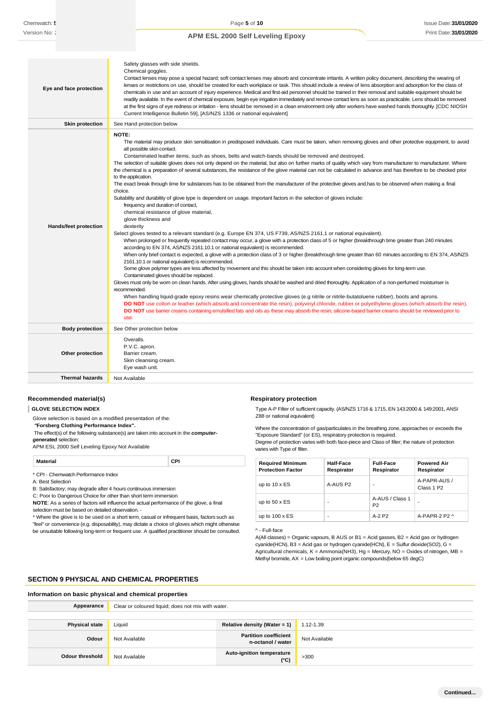| Eye and face protection      | Safety glasses with side shields.<br>Chemical goggles.<br>Contact lenses may pose a special hazard; soft contact lenses may absorb and concentrate irritants. A written policy document, describing the wearing of<br>lenses or restrictions on use, should be created for each workplace or task. This should include a review of lens absorption and adsorption for the class of<br>chemicals in use and an account of injury experience. Medical and first-aid personnel should be trained in their removal and suitable equipment should be<br>readily available. In the event of chemical exposure, begin eye irrigation immediately and remove contact lens as soon as practicable. Lens should be removed<br>at the first signs of eye redness or irritation - lens should be removed in a clean environment only after workers have washed hands thoroughly. [CDC NIOSH<br>Current Intelligence Bulletin 59], [AS/NZS 1336 or national equivalent]                                                                                                                                                                                                                                                                                                                                                                                                                                                                                                                                                                                                                                                                                                                                                                                                                                                                                                                                                                                                                                                                                                                                                                                                                                                                                                                                                                                                                                                                                                                                                |
|------------------------------|-----------------------------------------------------------------------------------------------------------------------------------------------------------------------------------------------------------------------------------------------------------------------------------------------------------------------------------------------------------------------------------------------------------------------------------------------------------------------------------------------------------------------------------------------------------------------------------------------------------------------------------------------------------------------------------------------------------------------------------------------------------------------------------------------------------------------------------------------------------------------------------------------------------------------------------------------------------------------------------------------------------------------------------------------------------------------------------------------------------------------------------------------------------------------------------------------------------------------------------------------------------------------------------------------------------------------------------------------------------------------------------------------------------------------------------------------------------------------------------------------------------------------------------------------------------------------------------------------------------------------------------------------------------------------------------------------------------------------------------------------------------------------------------------------------------------------------------------------------------------------------------------------------------------------------------------------------------------------------------------------------------------------------------------------------------------------------------------------------------------------------------------------------------------------------------------------------------------------------------------------------------------------------------------------------------------------------------------------------------------------------------------------------------------------------------------------------------------------------------------------------------|
| <b>Skin protection</b>       | See Hand protection below                                                                                                                                                                                                                                                                                                                                                                                                                                                                                                                                                                                                                                                                                                                                                                                                                                                                                                                                                                                                                                                                                                                                                                                                                                                                                                                                                                                                                                                                                                                                                                                                                                                                                                                                                                                                                                                                                                                                                                                                                                                                                                                                                                                                                                                                                                                                                                                                                                                                                 |
| <b>Hands/feet protection</b> | NOTE:<br>The material may produce skin sensitisation in predisposed individuals. Care must be taken, when removing gloves and other protective equipment, to avoid<br>all possible skin contact.<br>Contaminated leather items, such as shoes, belts and watch-bands should be removed and destroyed.<br>The selection of suitable gloves does not only depend on the material, but also on further marks of quality which vary from manufacturer to manufacturer. Where<br>the chemical is a preparation of several substances, the resistance of the glove material can not be calculated in advance and has therefore to be checked prior<br>to the application.<br>The exact break through time for substances has to be obtained from the manufacturer of the protective gloves and has to be observed when making a final<br>choice.<br>Suitability and durability of glove type is dependent on usage. Important factors in the selection of gloves include:<br>frequency and duration of contact,<br>chemical resistance of glove material,<br>glove thickness and<br>dexterity<br>Select gloves tested to a relevant standard (e.g. Europe EN 374, US F739, AS/NZS 2161.1 or national equivalent).<br>When prolonged or frequently repeated contact may occur, a glove with a protection class of 5 or higher (breakthrough time greater than 240 minutes<br>according to EN 374, AS/NZS 2161.10.1 or national equivalent) is recommended.<br>When only brief contact is expected, a glove with a protection class of 3 or higher (breakthrough time greater than 60 minutes according to EN 374, AS/NZS<br>2161.10.1 or national equivalent) is recommended.<br>Some glove polymer types are less affected by movement and this should be taken into account when considering gloves for long-term use.<br>Contaminated gloves should be replaced.<br>Gloves must only be wom on clean hands. After using gloves, hands should be washed and dried thoroughly. Application of a non-perfumed moisturiser is<br>recommended.<br>When handling liquid-grade epoxy resins wear chemically protective gloves (e.g nitrile or nitrile-butatoluene rubber), boots and aprons.<br>DO NOT use cotton or leather (which absorb and concentrate the resin), polyvinyl chloride, rubber or polyethylene gloves (which absorb the resin).<br>DO NOT use barrier creams containing emulsified fats and oils as these may absorb the resin; silicone-based barrier creams should be reviewed prior to<br>use. |
| <b>Body protection</b>       | See Other protection below                                                                                                                                                                                                                                                                                                                                                                                                                                                                                                                                                                                                                                                                                                                                                                                                                                                                                                                                                                                                                                                                                                                                                                                                                                                                                                                                                                                                                                                                                                                                                                                                                                                                                                                                                                                                                                                                                                                                                                                                                                                                                                                                                                                                                                                                                                                                                                                                                                                                                |
| Other protection             | Overalls.<br>P.V.C. apron.<br>Barrier cream.<br>Skin cleansing cream.<br>Eye wash unit.                                                                                                                                                                                                                                                                                                                                                                                                                                                                                                                                                                                                                                                                                                                                                                                                                                                                                                                                                                                                                                                                                                                                                                                                                                                                                                                                                                                                                                                                                                                                                                                                                                                                                                                                                                                                                                                                                                                                                                                                                                                                                                                                                                                                                                                                                                                                                                                                                   |
| <b>Thermal hazards</b>       | Not Available                                                                                                                                                                                                                                                                                                                                                                                                                                                                                                                                                                                                                                                                                                                                                                                                                                                                                                                                                                                                                                                                                                                                                                                                                                                                                                                                                                                                                                                                                                                                                                                                                                                                                                                                                                                                                                                                                                                                                                                                                                                                                                                                                                                                                                                                                                                                                                                                                                                                                             |

#### **Recommended material(s)**

**GLOVE SELECTION INDEX**

Glove selection is based on a modified presentation of the:

*"***Forsberg Clothing Performance Index".**

The effect(s) of the following substance(s) are taken into account in the *computer-*

*generated* selection:

APM ESL 2000 Self Leveling Epoxy Not Available

| Material                            | CPI |
|-------------------------------------|-----|
| * CPI - Chemwatch Performance Index |     |

A: Best Selection

B: Satisfactory; may degrade after 4 hours continuous immersion C: Poor to Dangerous Choice for other than short term immersion

**NOTE**: As a series of factors will influence the actual performance of the glove, a final selection must be based on detailed observation. -

\* Where the glove is to be used on a short term, casual or infrequent basis, factors such as "feel" or convenience (e.g. disposability), may dictate a choice of gloves which might otherwise be unsuitable following long-term or frequent use. A qualified practitioner should be consulted.

#### **Respiratory protection**

Type A-P Filter of sufficient capacity. (AS/NZS 1716 & 1715, EN 143:2000 & 149:2001, ANSI Z88 or national equivalent)

Where the concentration of gas/particulates in the breathing zone, approaches or exceeds the "Exposure Standard" (or ES), respiratory protection is required.

Degree of protection varies with both face-piece and Class of filter; the nature of protection varies with Type of filter.

| <b>Required Minimum</b><br><b>Protection Factor</b> | <b>Half-Face</b><br>Respirator | <b>Full-Face</b><br>Respirator    | <b>Powered Air</b><br>Respirator       |
|-----------------------------------------------------|--------------------------------|-----------------------------------|----------------------------------------|
| up to $10 \times ES$                                | A-AUS P2                       | -                                 | A-PAPR-AUS /<br>Class 1 P <sub>2</sub> |
| up to $50 \times ES$                                | -                              | A-AUS / Class 1<br>P <sub>2</sub> | -                                      |
| up to $100 \times ES$                               | -                              | $A-2P2$                           | A-PAPR-2 P2 $\land$                    |

^ - Full-face

A(All classes) = Organic vapours, B AUS or B1 = Acid gasses, B2 = Acid gas or hydrogen cyanide(HCN), B3 = Acid gas or hydrogen cyanide(HCN), E = Sulfur dioxide(SO2), G = Agricultural chemicals,  $K =$  Ammonia(NH3), Hg = Mercury, NO = Oxides of nitrogen, MB = Methyl bromide, AX = Low boiling point organic compounds(below 65 degC)

### **SECTION 9 PHYSICAL AND CHEMICAL PROPERTIES**

| Information on basic physical and chemical properties |                                                    |                                                   |               |
|-------------------------------------------------------|----------------------------------------------------|---------------------------------------------------|---------------|
| Appearance                                            | Clear or coloured liquid; does not mix with water. |                                                   |               |
|                                                       |                                                    |                                                   |               |
| <b>Physical state</b>                                 | Liquid                                             | Relative density (Water = 1)                      | $1.12 - 1.39$ |
| Odour                                                 | Not Available                                      | <b>Partition coefficient</b><br>n-octanol / water | Not Available |
| Odour threshold                                       | Not Available                                      | <b>Auto-ignition temperature</b><br>$(^{\circ}C)$ | >300          |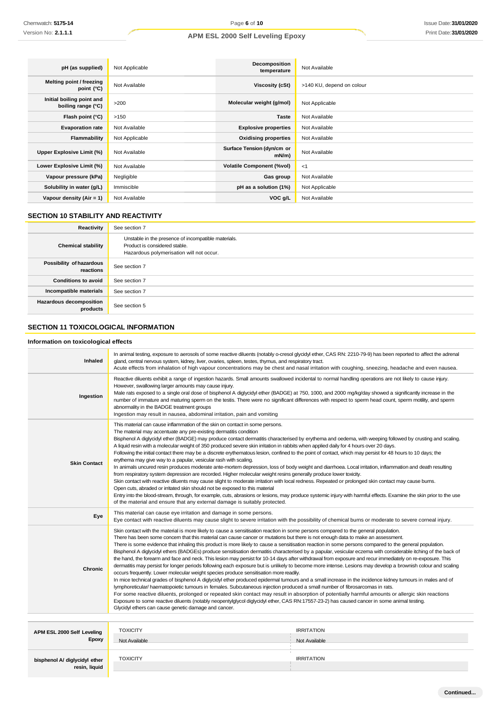| pH (as supplied)                                | Not Applicable | Decomposition<br>temperature       | Not Available             |
|-------------------------------------------------|----------------|------------------------------------|---------------------------|
| Melting point / freezing<br>point (°C)          | Not Available  | Viscosity (cSt)                    | >140 KU, depend on colour |
| Initial boiling point and<br>boiling range (°C) | >200           | Molecular weight (g/mol)           | Not Applicable            |
| Flash point (°C)                                | >150           | Taste                              | Not Available             |
| <b>Evaporation rate</b>                         | Not Available  | <b>Explosive properties</b>        | Not Available             |
| Flammability                                    | Not Applicable | <b>Oxidising properties</b>        | Not Available             |
| Upper Explosive Limit (%)                       | Not Available  | Surface Tension (dyn/cm or<br>mN/m | Not Available             |
| Lower Explosive Limit (%)                       | Not Available  | <b>Volatile Component (%vol)</b>   | -1                        |
| Vapour pressure (kPa)                           | Negligible     | Gas group                          | Not Available             |
| Solubility in water (g/L)                       | Immiscible     | pH as a solution (1%)              | Not Applicable            |
| Vapour density (Air = 1)                        | Not Available  | VOC g/L                            | Not Available             |

# **SECTION 10 STABILITY AND REACTIVITY**

| Reactivity                            | See section 7                                                                                                                    |
|---------------------------------------|----------------------------------------------------------------------------------------------------------------------------------|
| <b>Chemical stability</b>             | Unstable in the presence of incompatible materials.<br>Product is considered stable.<br>Hazardous polymerisation will not occur. |
| Possibility of hazardous<br>reactions | See section 7                                                                                                                    |
| <b>Conditions to avoid</b>            | See section 7                                                                                                                    |
| Incompatible materials                | See section 7                                                                                                                    |
| Hazardous decomposition<br>products   | See section 5                                                                                                                    |

# **SECTION 11 TOXICOLOGICAL INFORMATION**

### **Information on toxicological effects**

| <b>Inhaled</b>                                 | In animal testing, exposure to aerosols of some reactive diluents (notably o-cresol glycidyl ether, CAS RN: 2210-79-9) has been reported to affect the adrenal<br>gland, central nervous system, kidney, liver, ovaries, spleen, testes, thymus, and respiratory tract.<br>Acute effects from inhalation of high vapour concentrations may be chest and nasal irritation with coughing, sneezing, headache and even nausea.                                                                                                                                                                                                                                                                                                                                                                                                                                                                                                                                                                                                                                                                                                                                                                                                                                                                                                                                                                                                                                                                                                                                                                                                                                                  |                   |
|------------------------------------------------|------------------------------------------------------------------------------------------------------------------------------------------------------------------------------------------------------------------------------------------------------------------------------------------------------------------------------------------------------------------------------------------------------------------------------------------------------------------------------------------------------------------------------------------------------------------------------------------------------------------------------------------------------------------------------------------------------------------------------------------------------------------------------------------------------------------------------------------------------------------------------------------------------------------------------------------------------------------------------------------------------------------------------------------------------------------------------------------------------------------------------------------------------------------------------------------------------------------------------------------------------------------------------------------------------------------------------------------------------------------------------------------------------------------------------------------------------------------------------------------------------------------------------------------------------------------------------------------------------------------------------------------------------------------------------|-------------------|
| Ingestion                                      | Reactive diluents exhibit a range of ingestion hazards. Small amounts swallowed incidental to normal handling operations are not likely to cause injury.<br>However, swallowing larger amounts may cause injury.<br>Male rats exposed to a single oral dose of bisphenol A diglycidyl ether (BADGE) at 750, 1000, and 2000 mg/kg/day showed a significantly increase in the<br>number of immature and maturing sperm on the testis. There were no significant differences with respect to sperm head count, sperm motility, and sperm<br>abnormality in the BADGE treatment groups<br>Ingestion may result in nausea, abdominal irritation, pain and vomiting                                                                                                                                                                                                                                                                                                                                                                                                                                                                                                                                                                                                                                                                                                                                                                                                                                                                                                                                                                                                                |                   |
| <b>Skin Contact</b>                            | This material can cause inflammation of the skin on contact in some persons.<br>The material may accentuate any pre-existing dermatitis condition<br>Bisphenol A diglycidyl ether (BADGE) may produce contact dermatitis characterised by erythema and oedema, with weeping followed by crusting and scaling.<br>A liquid resin with a molecular weight of 350 produced severe skin irritation in rabbits when applied daily for 4 hours over 20 days.<br>Following the initial contact there may be a discrete erythematous lesion, confined to the point of contact, which may persist for 48 hours to 10 days; the<br>erythema may give way to a papular, vesicular rash with scaling.<br>In animals uncured resin produces moderate ante-mortem depression, loss of body weight and diarrhoea. Local irritation, inflammation and death resulting<br>from respiratory system depression are recorded. Higher molecular weight resins generally produce lower toxicity.<br>Skin contact with reactive diluents may cause slight to moderate irritation with local redness. Repeated or prolonged skin contact may cause burns.<br>Open cuts, abraded or irritated skin should not be exposed to this material<br>Entry into the blood-stream, through, for example, cuts, abrasions or lesions, may produce systemic injury with harmful effects. Examine the skin prior to the use<br>of the material and ensure that any external damage is suitably protected.                                                                                                                                                                                                         |                   |
| Eye                                            | This material can cause eye irritation and damage in some persons.<br>Eye contact with reactive diluents may cause slight to severe irritation with the possibility of chemical burns or moderate to severe corneal injury.                                                                                                                                                                                                                                                                                                                                                                                                                                                                                                                                                                                                                                                                                                                                                                                                                                                                                                                                                                                                                                                                                                                                                                                                                                                                                                                                                                                                                                                  |                   |
| <b>Chronic</b>                                 | Skin contact with the material is more likely to cause a sensitisation reaction in some persons compared to the general population.<br>There has been some concem that this material can cause cancer or mutations but there is not enough data to make an assessment.<br>There is some evidence that inhaling this product is more likely to cause a sensitisation reaction in some persons compared to the general population.<br>Bisphenol A diglycidyl ethers (BADGEs) produce sensitisation dermatitis characterised by a papular, vesicular eczema with considerable itching of the back of<br>the hand, the forearm and face and neck. This lesion may persist for 10-14 days after withdrawal from exposure and recur immediately on re-exposure. This<br>dermatitis may persist for longer periods following each exposure but is unlikely to become more intense. Lesions may develop a brownish colour and scaling<br>occurs frequently. Lower molecular weight species produce sensitisation more readily.<br>In mice technical grades of bisphenol A diglycidyl ether produced epidermal tumours and a small increase in the incidence kidney tumours in males and of<br>lymphoreticular/haematopoietic tumours in females. Subcutaneous injection produced a small number of fibrosarcomas in rats.<br>For some reactive diluents, prolonged or repeated skin contact may result in absorption of potentially harmful amounts or allergic skin reactions<br>Exposure to some reactive diluents (notably neopentylglycol diglycidyl ether, CAS RN:17557-23-2) has caused cancer in some animal testing.<br>Glycidyl ethers can cause genetic damage and cancer. |                   |
|                                                | <b>TOXICITY</b>                                                                                                                                                                                                                                                                                                                                                                                                                                                                                                                                                                                                                                                                                                                                                                                                                                                                                                                                                                                                                                                                                                                                                                                                                                                                                                                                                                                                                                                                                                                                                                                                                                                              | <b>IRRITATION</b> |
| APM ESL 2000 Self Leveling<br><b>Epoxy</b>     | Not Available                                                                                                                                                                                                                                                                                                                                                                                                                                                                                                                                                                                                                                                                                                                                                                                                                                                                                                                                                                                                                                                                                                                                                                                                                                                                                                                                                                                                                                                                                                                                                                                                                                                                | Not Available     |
| bisphenol A/ diglycidyl ether<br>resin, liquid | <b>TOXICITY</b>                                                                                                                                                                                                                                                                                                                                                                                                                                                                                                                                                                                                                                                                                                                                                                                                                                                                                                                                                                                                                                                                                                                                                                                                                                                                                                                                                                                                                                                                                                                                                                                                                                                              | <b>IRRITATION</b> |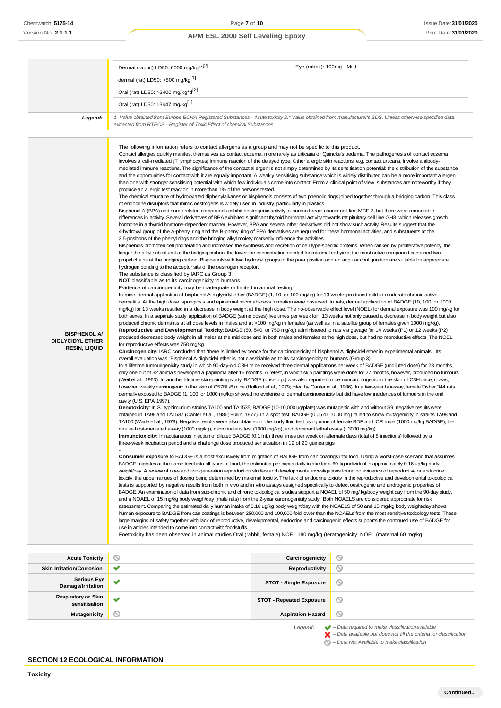|                                                                        | Dermal (rabbit) LD50: 6000 mg/kg**[2]                                                                                                                                                                                                                                                                                                                                                                                                                                                                                                                                                                                                                                                                                                                                                                                                                                                                                                                                                                                                                                                                                                                                                                                                                                                                                                                                                                                                                                                                                                                                                                                                                                                                                                                                                                                                                                                                                                                                                                                                                                                                                                                                                                                                                                                                                                                                                                                                                                                                                                                                                                                                                                                                                                                                                                                                                                                                                                                                                                                                                                                                                                                                                                                                                                                                                                                                                                                                                                                                                                                                                                                                                                                                                                                                                                                                                                                                                                                                                                                                                                                                                                                                                                                                                                                                                                                                                                                                                                                                                                                                                                                                                                                                                                                                                                                                                                                                                                                                                                                                                                                                                                                                                                                                                                                                                                                                                  | Eye (rabbit): 100mg - Mild                                                                                                                                                                                                                                                                                                                                                                                                                                                                                                                                                                                                                                                                                                                                                                                                                                                                                                                                                                                                                                                                                                                                                                                                                                                                                                                                                                                                                                                                                                                                                                                                                                                                                                                                                                                                                                                                                                                                                                                                                                                                                                                                                                                                                                        |
|------------------------------------------------------------------------|----------------------------------------------------------------------------------------------------------------------------------------------------------------------------------------------------------------------------------------------------------------------------------------------------------------------------------------------------------------------------------------------------------------------------------------------------------------------------------------------------------------------------------------------------------------------------------------------------------------------------------------------------------------------------------------------------------------------------------------------------------------------------------------------------------------------------------------------------------------------------------------------------------------------------------------------------------------------------------------------------------------------------------------------------------------------------------------------------------------------------------------------------------------------------------------------------------------------------------------------------------------------------------------------------------------------------------------------------------------------------------------------------------------------------------------------------------------------------------------------------------------------------------------------------------------------------------------------------------------------------------------------------------------------------------------------------------------------------------------------------------------------------------------------------------------------------------------------------------------------------------------------------------------------------------------------------------------------------------------------------------------------------------------------------------------------------------------------------------------------------------------------------------------------------------------------------------------------------------------------------------------------------------------------------------------------------------------------------------------------------------------------------------------------------------------------------------------------------------------------------------------------------------------------------------------------------------------------------------------------------------------------------------------------------------------------------------------------------------------------------------------------------------------------------------------------------------------------------------------------------------------------------------------------------------------------------------------------------------------------------------------------------------------------------------------------------------------------------------------------------------------------------------------------------------------------------------------------------------------------------------------------------------------------------------------------------------------------------------------------------------------------------------------------------------------------------------------------------------------------------------------------------------------------------------------------------------------------------------------------------------------------------------------------------------------------------------------------------------------------------------------------------------------------------------------------------------------------------------------------------------------------------------------------------------------------------------------------------------------------------------------------------------------------------------------------------------------------------------------------------------------------------------------------------------------------------------------------------------------------------------------------------------------------------------------------------------------------------------------------------------------------------------------------------------------------------------------------------------------------------------------------------------------------------------------------------------------------------------------------------------------------------------------------------------------------------------------------------------------------------------------------------------------------------------------------------------------------------------------------------------------------------------------------------------------------------------------------------------------------------------------------------------------------------------------------------------------------------------------------------------------------------------------------------------------------------------------------------------------------------------------------------------------------------------------------------------------------------------------------------------------|-------------------------------------------------------------------------------------------------------------------------------------------------------------------------------------------------------------------------------------------------------------------------------------------------------------------------------------------------------------------------------------------------------------------------------------------------------------------------------------------------------------------------------------------------------------------------------------------------------------------------------------------------------------------------------------------------------------------------------------------------------------------------------------------------------------------------------------------------------------------------------------------------------------------------------------------------------------------------------------------------------------------------------------------------------------------------------------------------------------------------------------------------------------------------------------------------------------------------------------------------------------------------------------------------------------------------------------------------------------------------------------------------------------------------------------------------------------------------------------------------------------------------------------------------------------------------------------------------------------------------------------------------------------------------------------------------------------------------------------------------------------------------------------------------------------------------------------------------------------------------------------------------------------------------------------------------------------------------------------------------------------------------------------------------------------------------------------------------------------------------------------------------------------------------------------------------------------------------------------------------------------------|
|                                                                        | dermal (rat) LD50: >800 mg/kg <sup>[1]</sup>                                                                                                                                                                                                                                                                                                                                                                                                                                                                                                                                                                                                                                                                                                                                                                                                                                                                                                                                                                                                                                                                                                                                                                                                                                                                                                                                                                                                                                                                                                                                                                                                                                                                                                                                                                                                                                                                                                                                                                                                                                                                                                                                                                                                                                                                                                                                                                                                                                                                                                                                                                                                                                                                                                                                                                                                                                                                                                                                                                                                                                                                                                                                                                                                                                                                                                                                                                                                                                                                                                                                                                                                                                                                                                                                                                                                                                                                                                                                                                                                                                                                                                                                                                                                                                                                                                                                                                                                                                                                                                                                                                                                                                                                                                                                                                                                                                                                                                                                                                                                                                                                                                                                                                                                                                                                                                                                           |                                                                                                                                                                                                                                                                                                                                                                                                                                                                                                                                                                                                                                                                                                                                                                                                                                                                                                                                                                                                                                                                                                                                                                                                                                                                                                                                                                                                                                                                                                                                                                                                                                                                                                                                                                                                                                                                                                                                                                                                                                                                                                                                                                                                                                                                   |
|                                                                        | Oral (rat) LD50: >2400 mg/kg*d <sup>[2]</sup>                                                                                                                                                                                                                                                                                                                                                                                                                                                                                                                                                                                                                                                                                                                                                                                                                                                                                                                                                                                                                                                                                                                                                                                                                                                                                                                                                                                                                                                                                                                                                                                                                                                                                                                                                                                                                                                                                                                                                                                                                                                                                                                                                                                                                                                                                                                                                                                                                                                                                                                                                                                                                                                                                                                                                                                                                                                                                                                                                                                                                                                                                                                                                                                                                                                                                                                                                                                                                                                                                                                                                                                                                                                                                                                                                                                                                                                                                                                                                                                                                                                                                                                                                                                                                                                                                                                                                                                                                                                                                                                                                                                                                                                                                                                                                                                                                                                                                                                                                                                                                                                                                                                                                                                                                                                                                                                                          |                                                                                                                                                                                                                                                                                                                                                                                                                                                                                                                                                                                                                                                                                                                                                                                                                                                                                                                                                                                                                                                                                                                                                                                                                                                                                                                                                                                                                                                                                                                                                                                                                                                                                                                                                                                                                                                                                                                                                                                                                                                                                                                                                                                                                                                                   |
|                                                                        | Oral (rat) LD50: 13447 mg/kg <sup>[1]</sup>                                                                                                                                                                                                                                                                                                                                                                                                                                                                                                                                                                                                                                                                                                                                                                                                                                                                                                                                                                                                                                                                                                                                                                                                                                                                                                                                                                                                                                                                                                                                                                                                                                                                                                                                                                                                                                                                                                                                                                                                                                                                                                                                                                                                                                                                                                                                                                                                                                                                                                                                                                                                                                                                                                                                                                                                                                                                                                                                                                                                                                                                                                                                                                                                                                                                                                                                                                                                                                                                                                                                                                                                                                                                                                                                                                                                                                                                                                                                                                                                                                                                                                                                                                                                                                                                                                                                                                                                                                                                                                                                                                                                                                                                                                                                                                                                                                                                                                                                                                                                                                                                                                                                                                                                                                                                                                                                            |                                                                                                                                                                                                                                                                                                                                                                                                                                                                                                                                                                                                                                                                                                                                                                                                                                                                                                                                                                                                                                                                                                                                                                                                                                                                                                                                                                                                                                                                                                                                                                                                                                                                                                                                                                                                                                                                                                                                                                                                                                                                                                                                                                                                                                                                   |
| Legend:                                                                | 1. Value obtained from Europe ECHA Registered Substances - Acute toxicity 2.* Value obtained from manufacturer's SDS. Unless otherwise specified data<br>extracted from RTECS - Register of Toxic Effect of chemical Substances                                                                                                                                                                                                                                                                                                                                                                                                                                                                                                                                                                                                                                                                                                                                                                                                                                                                                                                                                                                                                                                                                                                                                                                                                                                                                                                                                                                                                                                                                                                                                                                                                                                                                                                                                                                                                                                                                                                                                                                                                                                                                                                                                                                                                                                                                                                                                                                                                                                                                                                                                                                                                                                                                                                                                                                                                                                                                                                                                                                                                                                                                                                                                                                                                                                                                                                                                                                                                                                                                                                                                                                                                                                                                                                                                                                                                                                                                                                                                                                                                                                                                                                                                                                                                                                                                                                                                                                                                                                                                                                                                                                                                                                                                                                                                                                                                                                                                                                                                                                                                                                                                                                                                        |                                                                                                                                                                                                                                                                                                                                                                                                                                                                                                                                                                                                                                                                                                                                                                                                                                                                                                                                                                                                                                                                                                                                                                                                                                                                                                                                                                                                                                                                                                                                                                                                                                                                                                                                                                                                                                                                                                                                                                                                                                                                                                                                                                                                                                                                   |
| <b>BISPHENOL A/</b><br><b>DIGLYCIDYL ETHER</b><br><b>RESIN, LIQUID</b> | The following information refers to contact allergens as a group and may not be specific to this product.<br>Contact allergies quickly manifest themselves as contact eczema, more rarely as urticaria or Quincke's oedema. The pathogenesis of contact eczema<br>involves a cell-mediated (T lymphocytes) immune reaction of the delayed type. Other allergic skin reactions, e.g. contact urticaria, involve antibody-<br>than one with stronger sensitising potential with which few individuals come into contact. From a clinical point of view, substances are noteworthy if they<br>produce an allergic test reaction in more than 1% of the persons tested.<br>of endocrine disruptors that mimic oestrogens is widely used in industry, particularly in plastics<br>Bisphenol A (BPA) and some related compounds exhibit oestrogenic activity in human breast cancer cell line MCF-7, but there were remarkable<br>differences in activity. Several derivatives of BPA exhibited significant thyroid hormonal activity towards rat pituitary cell line GH3, which releases growth<br>hormone in a thyroid hormone-dependent manner. However, BPA and several other derivatives did not show such activity. Results suggest that the<br>4-hydroxyl group of the A-phenyl ring and the B-phenyl ring of BPA derivatives are required for these hormonal activities, and substituents at the<br>3,5-positions of the phenyl rings and the bridging alkyl moiety markedly influence the activities.<br>Bisphenols promoted cell proliferation and increased the synthesis and secretion of cell type-specific proteins. When ranked by proliferative potency, the<br>longer the alkyl substituent at the bridging carbon, the lower the concentration needed for maximal cell yield; the most active compound contained two<br>propyl chains at the bridging carbon. Bisphenols with two hydroxyl groups in the para position and an angular configuration are suitable for appropriate<br>hydrogen bonding to the acceptor site of the oestrogen receptor.<br>The substance is classified by IARC as Group 3:<br><b>NOT</b> classifiable as to its carcinogenicity to humans.<br>Evidence of carcinogenicity may be inadequate or limited in animal testing.<br>In mice, dermal application of bisphenol A diglycidyl ether (BADGE) (1, 10, or 100 mg/kg) for 13 weeks produced mild to moderate chronic active<br>dermatitis. At the high dose, spongiosis and epidermal micro abscess formation were observed. In rats, dermal application of BADGE (10, 100, or 1000<br>produced chronic dermatitis at all dose levels in males and at >100 mg/kg in females (as well as in a satellite group of females given 1000 mg/kg).<br>Reproductive and Developmental Toxicity: BADGE (50, 540, or 750 mg/kg) administered to rats via gavage for 14 weeks (P1) or 12 weeks (P2)<br>for reproductive effects was 750 mg/kg.<br>Carcinogenicity: IARC concluded that "there is limited evidence for the carcinogenicity of bisphenol A diglycidyl ether in experimental animals." Its<br>overall evaluation was "Bisphenol A diglycidyl ether is not classifiable as to its carcinogenicity to humans (Group 3).<br>(Weil et al., 1963). In another lifetime skin-painting study, BADGE (dose n.p.) was also reported to be noncarcinogenic to the skin of C3H mice; it was,<br>dermally exposed to BADGE (1, 100, or 1000 mg/kg) showed no evidence of dermal carcinogenicity but did have low incidences of tumours in the oral<br>cavity (U.S. EPA, 1997).<br>Genotoxicity: In S. typhimurium strains TA100 and TA1535, BADGE (10-10,000 ug/plate) was mutagenic with and without S9; negative results were<br>mouse host-mediated assay (1000 mg/kg), micronucleus test (1000 mg/kg), and dominant lethal assay (~3000 mg/kg).<br>Immunotoxicity: Intracutaneous injection of diluted BADGE (0.1 mL) three times per week on alternate days (total of 8 injections) followed by a<br>three-week incubation period and a challenge dose produced sensitisation in 19 of 20 quinea pigs<br>BADGE migrates at the same level into all types of food, the estimated per capita daily intake for a 60-kg individual is approximately 0.16 ug/kg body<br>weight/day. A review of one- and two-generation reproduction studies and developmental investigations found no evidence of reproductive or endocrine<br>tests is supported by negative results from both in vivo and in vitro assays designed specifically to detect oestrogenic and androgenic properties of<br>BADGE. An examination of data from sub-chronic and chronic toxicological studies support a NOAEL of 50 mg/ kg/body weight day from the 90-day study,<br>and a NOAEL of 15 mg/kg body weigh/day (male rats) from the 2-year carcinogenicity study. Both NOAELS are considered appropriate for risk<br>assessment. Comparing the estimated daily human intake of 0.16 ug/kg body weight/day with the NOAELS of 50 and 15 mg/kg body weight/day shows<br>large margins of safety together with lack of reproductive, developmental, endocrine and carcinogenic effects supports the continued use of BADGE for<br>use in articles intended to come into contact with foodstuffs.<br>Foetoxicity has been observed in animal studies Oral (rabbit, female) NOEL 180 mg/kg (teratogenicity; NOEL (maternal 60 mg/kg | mediated immune reactions. The significance of the contact allergen is not simply determined by its sensitisation potential: the distribution of the substance<br>and the opportunities for contact with it are equally important. A weakly sensitising substance which is widely distributed can be a more important allergen<br>The chemical structure of hydroxylated diphenylalkanes or bisphenols consists of two phenolic rings joined together through a bridging carbon. This class<br>mg/kg) for 13 weeks resulted in a decrease in body weight at the high dose. The no-observable effect level (NOEL) for dermal exposure was 100 mg/kg for<br>both sexes. In a separate study, application of BADGE (same doses) five times per week for ~13 weeks not only caused a decrease in body weight but also<br>produced decreased body weight in all males at the mid dose and in both males and females at the high dose, but had no reproductive effects. The NOEL<br>In a lifetime tumourigenicity study in which 90-day-old C3H mice received three dermal applications per week of BADGE (undiluted dose) for 23 months,<br>only one out of 32 animals developed a papilloma after 16 months. A retest, in which skin paintings were done for 27 months, however, produced no tumours<br>however, weakly carcinogenic to the skin of C57BL/6 mice (Holland et al., 1979; cited by Canter et al., 1986). In a two-year bioassay, female Fisher 344 rats<br>obtained in TA98 and TA1537 (Canter et al., 1986; Pullin, 1977). In a spot test, BADGE (0.05 or 10.00 mg) failed to show mutagenicity in strains TA98 and<br>TA100 (Wade et al., 1979). Negative results were also obtained in the body fluid test using urine of female BDF and ICR mice (1000 mg/kg BADGE), the<br>Consumer exposure to BADGE is almost exclusively from migration of BADGE from can coatings into food. Using a worst-case scenario that assumes<br>toxicity, the upper ranges of dosing being determined by maternal toxicity. The lack of endocrine toxicity in the reproductive and developmental toxicological<br>human exposure to BADGE from can coatings is between 250,000 and 100,000-fold lower than the NOAELs from the most sensitive toxicology tests. These |
| <b>Acute Toxicity</b>                                                  | $\scriptstyle\sim$                                                                                                                                                                                                                                                                                                                                                                                                                                                                                                                                                                                                                                                                                                                                                                                                                                                                                                                                                                                                                                                                                                                                                                                                                                                                                                                                                                                                                                                                                                                                                                                                                                                                                                                                                                                                                                                                                                                                                                                                                                                                                                                                                                                                                                                                                                                                                                                                                                                                                                                                                                                                                                                                                                                                                                                                                                                                                                                                                                                                                                                                                                                                                                                                                                                                                                                                                                                                                                                                                                                                                                                                                                                                                                                                                                                                                                                                                                                                                                                                                                                                                                                                                                                                                                                                                                                                                                                                                                                                                                                                                                                                                                                                                                                                                                                                                                                                                                                                                                                                                                                                                                                                                                                                                                                                                                                                                                     | Carcinogenicity<br>$\circ$                                                                                                                                                                                                                                                                                                                                                                                                                                                                                                                                                                                                                                                                                                                                                                                                                                                                                                                                                                                                                                                                                                                                                                                                                                                                                                                                                                                                                                                                                                                                                                                                                                                                                                                                                                                                                                                                                                                                                                                                                                                                                                                                                                                                                                        |

| <b>Acute Toxicity</b>                       | ◡            | Carcinogenicity                 | ◡                                                                                                                                                                                                                            |
|---------------------------------------------|--------------|---------------------------------|------------------------------------------------------------------------------------------------------------------------------------------------------------------------------------------------------------------------------|
| <b>Skin Irritation/Corrosion</b>            | $\checkmark$ | Reproductivity                  | O                                                                                                                                                                                                                            |
| <b>Serious Eye</b><br>Damage/Irritation     | $\checkmark$ | <b>STOT - Single Exposure</b>   | ◎                                                                                                                                                                                                                            |
| <b>Respiratory or Skin</b><br>sensitisation | $\checkmark$ | <b>STOT - Repeated Exposure</b> | $\circ$                                                                                                                                                                                                                      |
| Mutagenicity                                | $\circ$      | <b>Aspiration Hazard</b>        | Ø                                                                                                                                                                                                                            |
|                                             |              | Legend:                         | $\blacktriangleright$ - Data required to make classification available<br>$\blacktriangleright$ - Data available but does not fill the criteria for classification<br>$\bigcirc$ – Data Not Available to make classification |

# **SECTION 12 ECOLOGICAL INFORMATION**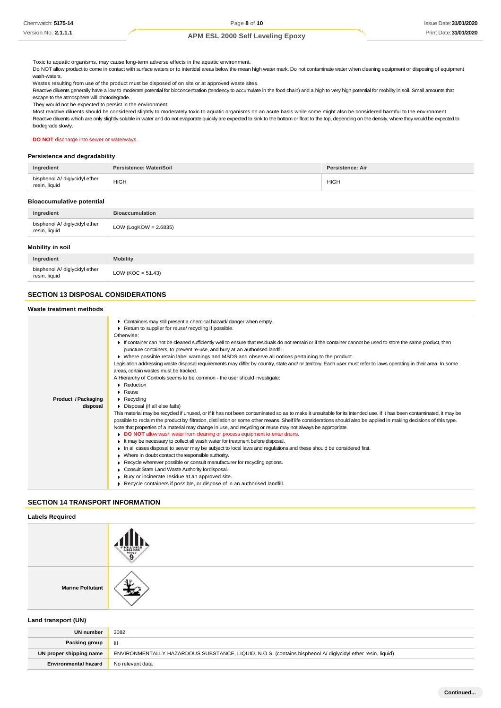Toxic to aquatic organisms, may cause long-term adverse effects in the aquatic environment.

Do NOT allow product to come in contact with surface waters or to intertidal areas below the mean high water mark. Do not contaminate water when cleaning equipment or disposing of equipment wash-waters.

Wastes resulting from use of the product must be disposed of on site or at approved waste sites.

Reactive diluents generally have a low to moderate potential for bioconcentration (tendency to accumulate in the food chain) and a high to very high potential for mobility in soil. Small amounts that escape to the atmosphere will photodegrade.

They would not be expected to persist in the environment.

Most reactive diluents should be considered slightly to moderately toxic to aquatic organisms on an acute basis while some might also be considered harmful to the environment. Reactive diluents which are only slightly soluble in water and do not evaporate quickly are expected to sink to the bottom or float to the top, depending on the density, where they would be expected to biodegrade slowly.

#### **DO NOT** discharge into sewer or waterways.

# **Persistence and degradability**

| Ingredient                                     | Persistence: Water/Soil | Persistence: Air |
|------------------------------------------------|-------------------------|------------------|
| bisphenol A/ diglycidyl ether<br>resin, liquid | <b>HIGH</b>             | <b>HIGH</b>      |

#### **Bioaccumulative potential**

| Ingredient                                     | <b>Bioaccumulation</b>   |
|------------------------------------------------|--------------------------|
| bisphenol A/ diglycidyl ether<br>resin, liquid | LOW (LogKOW = $2.6835$ ) |
| Mobility in soil                               |                          |

| bisphenol A/ diglycidyl ether<br>resin, liquid | LOW ( $KOC = 51.43$ ) |
|------------------------------------------------|-----------------------|
|                                                |                       |

# **SECTION 13 DISPOSAL CONSIDERATIONS**

### **Waste treatment methods**

|                     | • Containers may still present a chemical hazard/ danger when empty.<br>Return to supplier for reuse/ recycling if possible.<br>Otherwise:<br>If container can not be cleaned sufficiently well to ensure that residuals do not remain or if the container cannot be used to store the same product, then |
|---------------------|-----------------------------------------------------------------------------------------------------------------------------------------------------------------------------------------------------------------------------------------------------------------------------------------------------------|
|                     | puncture containers, to prevent re-use, and bury at an authorised landfill.                                                                                                                                                                                                                               |
|                     | ▶ Where possible retain label warnings and MSDS and observe all notices pertaining to the product.                                                                                                                                                                                                        |
|                     | Legislation addressing waste disposal requirements may differ by country, state and/ or territory. Each user must refer to laws operating in their area. In some                                                                                                                                          |
|                     | areas, certain wastes must be tracked.                                                                                                                                                                                                                                                                    |
|                     | A Hierarchy of Controls seems to be common - the user should investigate:                                                                                                                                                                                                                                 |
|                     | Reduction                                                                                                                                                                                                                                                                                                 |
|                     | $\blacktriangleright$ Reuse                                                                                                                                                                                                                                                                               |
| Product / Packaging | $\blacktriangleright$ Recycling                                                                                                                                                                                                                                                                           |
| disposal            | Disposal (if all else fails)                                                                                                                                                                                                                                                                              |
|                     | This material may be recycled if unused, or if it has not been contaminated so as to make it unsuitable for its intended use. If it has been contaminated, it may be                                                                                                                                      |
|                     | possible to reclaim the product by filtration, distillation or some other means. Shelf life considerations should also be applied in making decisions of this type.                                                                                                                                       |
|                     | Note that properties of a material may change in use, and recycling or reuse may not always be appropriate.                                                                                                                                                                                               |
|                     | • DO NOT allow wash water from cleaning or process equipment to enter drains.                                                                                                                                                                                                                             |
|                     | It may be necessary to collect all wash water for treatment before disposal.                                                                                                                                                                                                                              |
|                     | In all cases disposal to sewer may be subject to local laws and regulations and these should be considered first.                                                                                                                                                                                         |
|                     | • Where in doubt contact the responsible authority.                                                                                                                                                                                                                                                       |
|                     | Recycle wherever possible or consult manufacturer for recycling options.                                                                                                                                                                                                                                  |
|                     | Consult State Land Waste Authority for disposal.                                                                                                                                                                                                                                                          |
|                     | ▶ Bury or incinerate residue at an approved site.                                                                                                                                                                                                                                                         |
|                     | Recycle containers if possible, or dispose of in an authorised landfill.                                                                                                                                                                                                                                  |
|                     |                                                                                                                                                                                                                                                                                                           |

### **SECTION 14 TRANSPORT INFORMATION**

### **Labels Required**

**Marine Pollutant**

### **Land transport (UN)**

| <b>UN number</b>            | 3082                                                                                                       |
|-----------------------------|------------------------------------------------------------------------------------------------------------|
| Packing group               | $\mathbf{m}$                                                                                               |
| UN proper shipping name     | ENVIRONMENTALLY HAZARDOUS SUBSTANCE, LIQUID, N.O.S. (contains bisphenol A/ diglycidyl ether resin, liquid) |
| <b>Environmental hazard</b> | No relevant data                                                                                           |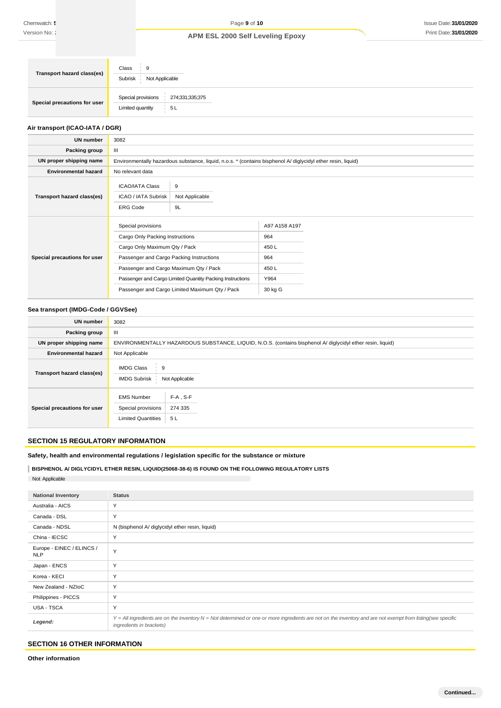| <b>Transport hazard class(es)</b> | Class<br>9<br>Subrisk<br>Not Applicable                         |
|-----------------------------------|-----------------------------------------------------------------|
| Special precautions for user      | Special provisions<br>274;331;335;375<br>Limited quantity<br>5L |

### **Air transport (ICAO-IATA / DGR)**

| <b>UN number</b>             | 3082                                                                                                                                                                                                                                                                                        |                                                                |
|------------------------------|---------------------------------------------------------------------------------------------------------------------------------------------------------------------------------------------------------------------------------------------------------------------------------------------|----------------------------------------------------------------|
| Packing group                | Ш                                                                                                                                                                                                                                                                                           |                                                                |
| UN proper shipping name      | Environmentally hazardous substance, liquid, n.o.s. * (contains bisphenol A/ diglycidyl ether resin, liquid)                                                                                                                                                                                |                                                                |
| <b>Environmental hazard</b>  | No relevant data                                                                                                                                                                                                                                                                            |                                                                |
| Transport hazard class(es)   | <b>ICAO/IATA Class</b><br>9<br>Not Applicable<br>ICAO / IATA Subrisk<br>9L<br><b>ERG Code</b>                                                                                                                                                                                               |                                                                |
| Special precautions for user | Special provisions<br>Cargo Only Packing Instructions<br>Cargo Only Maximum Qty / Pack<br>Passenger and Cargo Packing Instructions<br>Passenger and Cargo Maximum Qty / Pack<br>Passenger and Cargo Limited Quantity Packing Instructions<br>Passenger and Cargo Limited Maximum Qty / Pack | A97 A158 A197<br>964<br>450L<br>964<br>450L<br>Y964<br>30 kg G |

# **Sea transport (IMDG-Code / GGVSee)**

| <b>UN number</b>             | 3082                                                                                                       |
|------------------------------|------------------------------------------------------------------------------------------------------------|
| Packing group                | Ш                                                                                                          |
| UN proper shipping name      | ENVIRONMENTALLY HAZARDOUS SUBSTANCE, LIQUID, N.O.S. (contains bisphenol A/ diglycidyl ether resin, liquid) |
| <b>Environmental hazard</b>  | Not Applicable                                                                                             |
| Transport hazard class(es)   | <b>IMDG Class</b><br>9<br>Not Applicable<br><b>IMDG Subrisk</b>                                            |
| Special precautions for user | $F-A$ , S-F<br><b>EMS Number</b><br>274 335<br>Special provisions<br><b>Limited Quantities</b><br>5L       |

# **SECTION 15 REGULATORY INFORMATION**

**Safety, health and environmental regulations / legislation specific for the substance or mixture**

**BISPHENOL A/ DIGLYCIDYL ETHER RESIN, LIQUID(25068-38-6) IS FOUND ON THE FOLLOWING REGULATORY LISTS** Not Applicable

| <b>National Inventory</b>               | <b>Status</b>                                                                                                                                                                            |
|-----------------------------------------|------------------------------------------------------------------------------------------------------------------------------------------------------------------------------------------|
| Australia - AICS                        | Y                                                                                                                                                                                        |
| Canada - DSL                            | Y                                                                                                                                                                                        |
| Canada - NDSL                           | N (bisphenol A/ diglycidyl ether resin, liquid)                                                                                                                                          |
| China - IECSC                           | Y                                                                                                                                                                                        |
| Europe - EINEC / ELINCS /<br><b>NLP</b> | Y                                                                                                                                                                                        |
| Japan - ENCS                            | Y                                                                                                                                                                                        |
| Korea - KECI                            | Y                                                                                                                                                                                        |
| New Zealand - NZIoC                     | Y                                                                                                                                                                                        |
| Philippines - PICCS                     | Υ                                                                                                                                                                                        |
| USA - TSCA                              | Y                                                                                                                                                                                        |
| Legend:                                 | Y = All ingredients are on the inventory N = Not determined or one or more ingredients are not on the inventory and are not exempt from listing(see specific<br>ingredients in brackets) |

### **SECTION 16 OTHER INFORMATION**

**Other information**